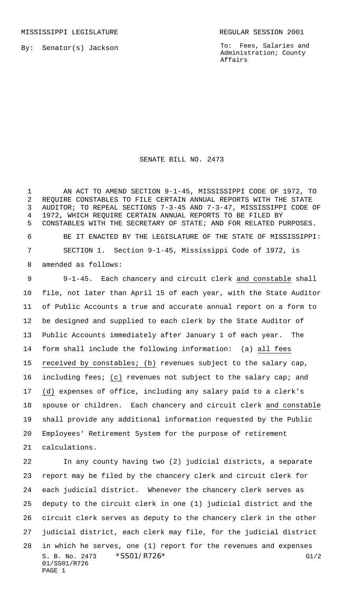MISSISSIPPI LEGISLATURE **REGULAR SESSION 2001** 

By: Senator(s) Jackson

To: Fees, Salaries and Administration; County Affairs

SENATE BILL NO. 2473

 AN ACT TO AMEND SECTION 9-1-45, MISSISSIPPI CODE OF 1972, TO REQUIRE CONSTABLES TO FILE CERTAIN ANNUAL REPORTS WITH THE STATE AUDITOR; TO REPEAL SECTIONS 7-3-45 AND 7-3-47, MISSISSIPPI CODE OF 1972, WHICH REQUIRE CERTAIN ANNUAL REPORTS TO BE FILED BY CONSTABLES WITH THE SECRETARY OF STATE; AND FOR RELATED PURPOSES. BE IT ENACTED BY THE LEGISLATURE OF THE STATE OF MISSISSIPPI: SECTION 1. Section 9-1-45, Mississippi Code of 1972, is amended as follows: 9-1-45. Each chancery and circuit clerk and constable shall file, not later than April 15 of each year, with the State Auditor of Public Accounts a true and accurate annual report on a form to be designed and supplied to each clerk by the State Auditor of Public Accounts immediately after January 1 of each year. The form shall include the following information: (a) all fees received by constables; (b) revenues subject to the salary cap, including fees; (c) revenues not subject to the salary cap; and (d) expenses of office, including any salary paid to a clerk's spouse or children. Each chancery and circuit clerk and constable shall provide any additional information requested by the Public Employees' Retirement System for the purpose of retirement calculations.

S. B. No. 2473  $*SS01/RT26*$  G1/2 01/SS01/R726 PAGE 1 In any county having two (2) judicial districts, a separate report may be filed by the chancery clerk and circuit clerk for each judicial district. Whenever the chancery clerk serves as deputy to the circuit clerk in one (1) judicial district and the circuit clerk serves as deputy to the chancery clerk in the other judicial district, each clerk may file, for the judicial district in which he serves, one (1) report for the revenues and expenses